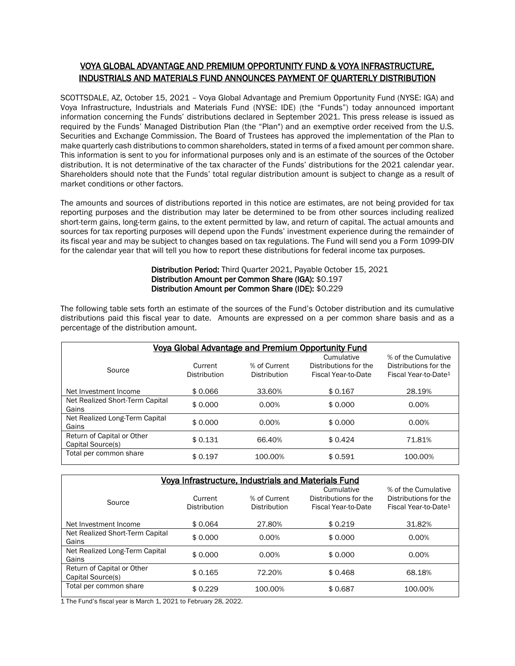# VOYA GLOBAL ADVANTAGE AND PREMIUM OPPORTUNITY FUND & VOYA INFRASTRUCTURE, INDUSTRIALS AND MATERIALS FUND ANNOUNCES PAYMENT OF QUARTERLY DISTRIBUTION

SCOTTSDALE, AZ, October 15, 2021 – Voya Global Advantage and Premium Opportunity Fund (NYSE: IGA) and Voya Infrastructure, Industrials and Materials Fund (NYSE: IDE) (the "Funds") today announced important information concerning the Funds' distributions declared in September 2021. This press release is issued as required by the Funds' Managed Distribution Plan (the "Plan") and an exemptive order received from the U.S. Securities and Exchange Commission. The Board of Trustees has approved the implementation of the Plan to make quarterly cash distributions to common shareholders, stated in terms of a fixed amount per common share. This information is sent to you for informational purposes only and is an estimate of the sources of the October distribution. It is not determinative of the tax character of the Funds' distributions for the 2021 calendar year. Shareholders should note that the Funds' total regular distribution amount is subject to change as a result of market conditions or other factors.

The amounts and sources of distributions reported in this notice are estimates, are not being provided for tax reporting purposes and the distribution may later be determined to be from other sources including realized short-term gains, long-term gains, to the extent permitted by law, and return of capital. The actual amounts and sources for tax reporting purposes will depend upon the Funds' investment experience during the remainder of its fiscal year and may be subject to changes based on tax regulations. The Fund will send you a Form 1099-DIV for the calendar year that will tell you how to report these distributions for federal income tax purposes.

## Distribution Period: Third Quarter 2021, Payable October 15, 2021 Distribution Amount per Common Share (IGA): \$0.197 Distribution Amount per Common Share (IDE): \$0.229

The following table sets forth an estimate of the sources of the Fund's October distribution and its cumulative distributions paid this fiscal year to date. Amounts are expressed on a per common share basis and as a percentage of the distribution amount.

| <b>Voya Global Advantage and Premium Opportunity Fund</b> |                                |                                     |                                                            |                                                                                  |  |  |
|-----------------------------------------------------------|--------------------------------|-------------------------------------|------------------------------------------------------------|----------------------------------------------------------------------------------|--|--|
| Source                                                    | Current<br><b>Distribution</b> | % of Current<br><b>Distribution</b> | Cumulative<br>Distributions for the<br>Fiscal Year-to-Date | % of the Cumulative<br>Distributions for the<br>Fiscal Year-to-Date <sup>1</sup> |  |  |
| Net Investment Income                                     | \$0.066                        | 33.60%                              | \$0.167                                                    | 28.19%                                                                           |  |  |
| Net Realized Short-Term Capital<br>Gains                  | \$0.000                        | 0.00%                               | \$0.000                                                    | $0.00\%$                                                                         |  |  |
| Net Realized Long-Term Capital<br>Gains                   | \$0.000                        | 0.00%                               | \$0.000                                                    | $0.00\%$                                                                         |  |  |
| Return of Capital or Other<br>Capital Source(s)           | \$0.131                        | 66.40%                              | \$0.424                                                    | 71.81%                                                                           |  |  |
| Total per common share                                    | \$0.197                        | 100.00%                             | \$0.591                                                    | 100.00%                                                                          |  |  |

| Voya Infrastructure, Industrials and Materials Fund |                                |                                     |                                                            |                                                                                  |  |  |
|-----------------------------------------------------|--------------------------------|-------------------------------------|------------------------------------------------------------|----------------------------------------------------------------------------------|--|--|
| Source                                              | Current<br><b>Distribution</b> | % of Current<br><b>Distribution</b> | Cumulative<br>Distributions for the<br>Fiscal Year-to-Date | % of the Cumulative<br>Distributions for the<br>Fiscal Year-to-Date <sup>1</sup> |  |  |
| Net Investment Income                               | \$0.064                        | 27.80%                              | \$0.219                                                    | 31.82%                                                                           |  |  |
| Net Realized Short-Term Capital<br>Gains            | \$0.000                        | 0.00%                               | \$0.000                                                    | $0.00\%$                                                                         |  |  |
| Net Realized Long-Term Capital<br>Gains             | \$0.000                        | 0.00%                               | \$0.000                                                    | $0.00\%$                                                                         |  |  |
| Return of Capital or Other<br>Capital Source(s)     | \$0.165                        | 72.20%                              | \$0.468                                                    | 68.18%                                                                           |  |  |
| Total per common share                              | \$0.229                        | 100.00%                             | \$0.687                                                    | 100.00%                                                                          |  |  |

1 The Fund's fiscal year is March 1, 2021 to February 28, 2022.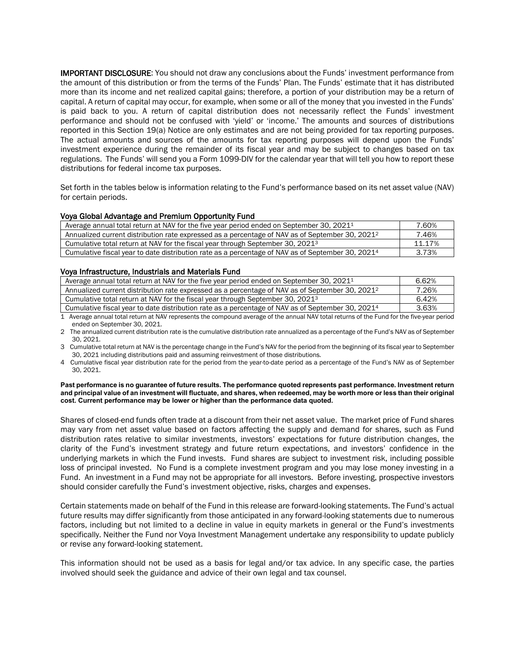IMPORTANT DISCLOSURE: You should not draw any conclusions about the Funds' investment performance from the amount of this distribution or from the terms of the Funds' Plan. The Funds' estimate that it has distributed more than its income and net realized capital gains; therefore, a portion of your distribution may be a return of capital. A return of capital may occur, for example, when some or all of the money that you invested in the Funds' is paid back to you. A return of capital distribution does not necessarily reflect the Funds' investment performance and should not be confused with 'yield' or 'income.' The amounts and sources of distributions reported in this Section 19(a) Notice are only estimates and are not being provided for tax reporting purposes. The actual amounts and sources of the amounts for tax reporting purposes will depend upon the Funds' investment experience during the remainder of its fiscal year and may be subject to changes based on tax regulations. The Funds' will send you a Form 1099-DIV for the calendar year that will tell you how to report these distributions for federal income tax purposes.

Set forth in the tables below is information relating to the Fund's performance based on its net asset value (NAV) for certain periods.

### Voya Global Advantage and Premium Opportunity Fund

| Average annual total return at NAV for the five year period ended on September 30, 2021 <sup>1</sup>          | 7.60%  |
|---------------------------------------------------------------------------------------------------------------|--------|
| Annualized current distribution rate expressed as a percentage of NAV as of September 30, 2021 <sup>2</sup>   | 7.46%  |
| Cumulative total return at NAV for the fiscal year through September 30, 2021 <sup>3</sup>                    | 11.17% |
| Cumulative fiscal year to date distribution rate as a percentage of NAV as of September 30, 2021 <sup>4</sup> | 3.73%  |

### Voya Infrastructure, Industrials and Materials Fund

| Average annual total return at NAV for the five year period ended on September 30, 2021 <sup>1</sup>          |       |  |
|---------------------------------------------------------------------------------------------------------------|-------|--|
| Annualized current distribution rate expressed as a percentage of NAV as of September 30, 2021 <sup>2</sup>   | 7.26% |  |
| Cumulative total return at NAV for the fiscal year through September 30, 2021 <sup>3</sup>                    |       |  |
| Cumulative fiscal year to date distribution rate as a percentage of NAV as of September 30, 2021 <sup>4</sup> |       |  |

1 Average annual total return at NAV represents the compound average of the annual NAV total returns of the Fund for the five-year period ended on September 30, 2021.

2 The annualized current distribution rate is the cumulative distribution rate annualized as a percentage of the Fund's NAV as of September 30, 2021.

3 Cumulative total return at NAV is the percentage change in the Fund's NAV for the period from the beginning of its fiscal year to September 30, 2021 including distributions paid and assuming reinvestment of those distributions.

4 Cumulative fiscal year distribution rate for the period from the year-to-date period as a percentage of the Fund's NAV as of September 30, 2021.

#### **Past performance is no guarantee of future results. The performance quoted represents past performance. Investment return and principal value of an investment will fluctuate, and shares, when redeemed, may be worth more or less than their original cost. Current performance may be lower or higher than the performance data quoted.**

Shares of closed-end funds often trade at a discount from their net asset value. The market price of Fund shares may vary from net asset value based on factors affecting the supply and demand for shares, such as Fund distribution rates relative to similar investments, investors' expectations for future distribution changes, the clarity of the Fund's investment strategy and future return expectations, and investors' confidence in the underlying markets in which the Fund invests. Fund shares are subject to investment risk, including possible loss of principal invested. No Fund is a complete investment program and you may lose money investing in a Fund. An investment in a Fund may not be appropriate for all investors. Before investing, prospective investors should consider carefully the Fund's investment objective, risks, charges and expenses.

Certain statements made on behalf of the Fund in this release are forward-looking statements. The Fund's actual future results may differ significantly from those anticipated in any forward-looking statements due to numerous factors, including but not limited to a decline in value in equity markets in general or the Fund's investments specifically. Neither the Fund nor Voya Investment Management undertake any responsibility to update publicly or revise any forward-looking statement.

This information should not be used as a basis for legal and/or tax advice. In any specific case, the parties involved should seek the guidance and advice of their own legal and tax counsel.